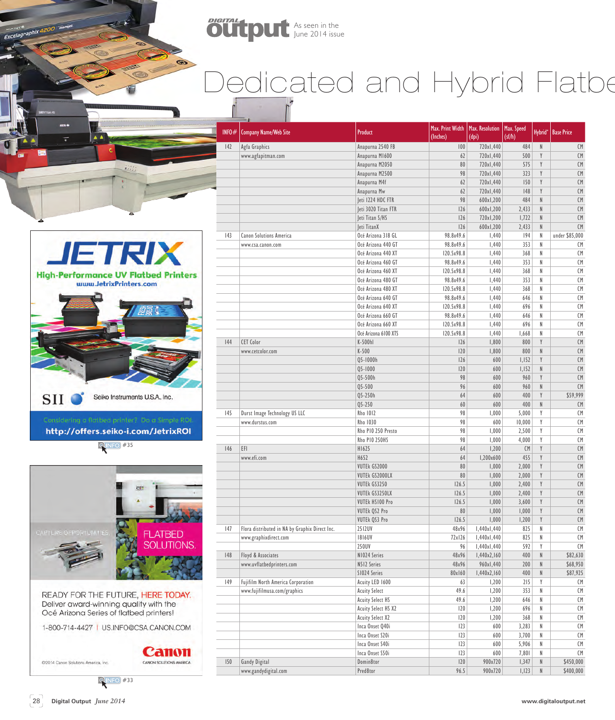

## Dedicated and Hybrid Flatbe



Excelagraphix 4200

http://offers.seiko-i.com/JetrixROI

**QINFO** #35



READY FOR THE FUTURE, HERE TODAY. Deliver award-winning quality with the Océ Arizona Series of flatbed printers!

1-800-714-4427 | US.INFO@CSA.CANON.COM

## Canon CANON SOLUTIONS AMERICA

@2014 Canon Solutions America, Inc.

| INFO $#$ | <b>Company Name/Web Site</b>                   | Product                               | Max. Print Width<br>(Inches) | Max. Resolution<br>(dpi) | Max. Speed<br>(sf/h) | Hybrid <sup>*</sup> | <b>Base Price</b> |
|----------|------------------------------------------------|---------------------------------------|------------------------------|--------------------------|----------------------|---------------------|-------------------|
| 42       | Agfa Graphics                                  | Anapurna 2540 FB                      | 100                          | 720x1,440                | 484                  | ${\sf N}$           | CM                |
|          | www.agfapitman.com                             | Anapurna M1600                        | 62                           | 720x1,440                | 500                  | Y                   | CM                |
|          |                                                | Anapurna M2050                        | 80                           | 720x1,440                | 575                  | Y                   | CM                |
|          |                                                | Anapurna M2500                        | 98                           | 720x1,440                | 323                  | Y                   | CM                |
|          |                                                | Anapurna M4f                          | 62                           | 720x1,440                | 150                  | Y                   | CM                |
|          |                                                | Anapurna Mw                           | 62                           | 720x1,440                | 148                  | Y                   | CM                |
|          |                                                | Jeti 1224 HDC FTR                     | 98                           | 600x1,200                | 484                  | $\mathsf{N}$        | CM                |
|          |                                                | Jeti 3020 Titan FTR                   | 126                          | 600x1,200                | 2,433                | $\mathsf N$         | CM                |
|          |                                                | leti Titan S/HS                       | 126                          | 720x1,200                | 1,722                | ${\sf N}$           | CM                |
|          |                                                | Jeti TitanX                           | 126                          | 600x1,200                | 2,433                | ${\sf N}$           | CM                |
| 43       | <b>Canon Solutions America</b>                 | Océ Arizona 318 GL                    | 98.8x49.6                    | 1,440                    | 194                  | $\mathsf{N}$        | under \$85,000    |
|          | www.csa.canon.com                              | Océ Arizona 440 GT                    | 98.8x49.6                    | 1,440                    | 353                  | $\sf N$             | CM                |
|          |                                                | Océ Arizona 440 XT                    | I20.5x98.8                   | 1,440                    | 368                  | N                   | CM                |
|          |                                                | Océ Arizona 460 GT                    | 98.8x49.6                    | 1,440                    | 353                  | $\sf N$             | CM                |
|          |                                                | Océ Arizona 460 XT                    | 120.5x98.8                   | 1,440                    | 368                  | N                   | CM                |
|          |                                                | Océ Arizona 480 GT                    | 98.8x49.6                    | 1,440                    | 353                  | N                   | CM                |
|          |                                                | Océ Arizona 480 XT                    | 120.5x98.8                   | 1,440                    | 368                  | N                   | CM                |
|          |                                                | Océ Arizona 640 GT                    | 98.8x49.6                    | 1,440                    | 646                  | N                   | CM                |
|          |                                                | Océ Arizona 640 XT                    | 120.5x98.8                   | 1,440                    | 696                  | $\sf N$             | CM                |
|          |                                                | Océ Arizona 660 GT                    | 98.8x49.6                    | 1,440                    | 646                  | N                   | CM                |
|          |                                                | Océ Arizona 660 XT                    | I20.5x98.8                   | 1,440                    | 696                  | N                   | CM                |
|          |                                                | Océ Arizona 6100 XTS                  | I20.5x98.8                   | 1,440                    | 1,668                | N                   | CM                |
| 144      | <b>CET Color</b>                               | K-500hl                               | 126                          | 1,800                    | 800                  | Y                   | CM                |
|          | www.cetcolor.com                               | K-500                                 | 120                          | 1,800                    | 800                  | $\mathsf{N}$        | CM                |
|          |                                                | Q5-1000h                              | 126                          | 600                      | 1,152                | Y                   | CM                |
|          |                                                | $Q5 - 1000$                           | 120                          | 600                      | 1,152                | $\mathsf{N}$        | CM                |
|          |                                                | Q5-500h                               | 98                           | 600                      | 960                  | Y                   | CM                |
|          |                                                | $Q5 - 500$                            | 96                           | 600                      | 960                  | ${\sf N}$           | CM                |
|          |                                                | Q5-250h                               | 64                           | 600                      | 400                  | Y                   | \$59,999          |
|          |                                                | $05 - 250$                            | 60                           | 600                      | 400                  | ${\sf N}$           | CM                |
| 145      | Durst Image Technology US LLC                  | <b>Rho 1012</b>                       | 98                           | 1,000                    | 5,000                | Y                   | CM                |
|          | www.durstus.com                                | Rho 1030                              | 98                           | 600                      | 10,000               | Y                   | CM                |
|          |                                                | Rho PIO 250 Presto                    | 98                           | 1,000                    | 2,500                | Y                   | CM                |
|          |                                                | <b>Rho P10 250HS</b>                  | 98                           | 1,000                    | 4,000                | Y                   | CM                |
| 146      | EFI                                            | H1625                                 | 64                           | 1,200                    | <b>CM</b>            | Y                   | CM                |
|          | www.efi.com                                    | H652                                  | 64                           | I,200x600                | 455                  | Y                   | CM                |
|          |                                                | VUTEk GS2000<br><b>VUTEK GS2000LX</b> | 80<br>80                     | 1,000                    | 2,000                | Y<br>$\mathsf Y$    | CM<br>CM          |
|          |                                                | VUTEk GS3250                          | 126.5                        | 1,000<br>1,000           | 2,000<br>2,400       | Y                   | CM                |
|          |                                                |                                       |                              |                          |                      | Y                   |                   |
|          |                                                | VUTEk GS3250LX<br>VUTEk HS100 Pro     | 126.5<br>126.5               | 1,000                    | 2,400                | $\mathsf Y$         | CM                |
|          |                                                | VUTEk QS2 Pro                         | 80                           | 1,000<br>1,000           | 3,600<br>1,000       | Y                   | CM<br>CM          |
|          |                                                | VUTEk QS3 Pro                         | 126.5                        | 1,000                    | 1,200                | $\mathsf Y$         | $\mathsf{CM}$     |
| 47       | Flora distributed in NA by Graphix Direct Inc. | 2512UV                                | 48x96                        | I,440x1,440              | 825                  | N                   | CM                |
|          | www.graphixdirect.com                          | <b>1816UV</b>                         | 72x126                       | 1,440x1,440              | 825                  | N                   | CM                |
|          |                                                | 250UV                                 | 96                           | I,440x1,440              | 592                  | Y                   | CM                |
| 148      | Floyd & Associates                             | N1024 Series                          | 48x96                        | I,440x2,160              | 400                  | ${\sf N}$           | \$82,630          |
|          | www.uvflatbedprinters.com                      | N512 Series                           | 48x96                        | 960x1,440                | 200                  | ${\sf N}$           | \$68,950          |
|          |                                                | S1024 Series                          | 80x160                       | I,440x2,160              | 400                  | ${\sf N}$           | \$87,925          |
| 149      | Fujifilm North America Corporation             | Acuity LED 1600                       | 63                           | 1,200                    | 215                  | Y                   | СM                |
|          | www.fujifilmusa.com/graphics                   | <b>Acuity Select</b>                  | 49.6                         | 1,200                    | 353                  | $\sf N$             | CM                |
|          |                                                | Acuity Select HS                      | 49.6                         | 1,200                    | 646                  | N                   | CM                |
|          |                                                | Acuity Select HS X2                   | 120                          | 1,200                    | 696                  | N                   | CM                |
|          |                                                | <b>Acuity Select X2</b>               | 120                          | 1,200                    | 368                  | N                   | CM                |
|          |                                                | Inca Onset Q40i                       | 123                          | 600                      | 3,283                | N                   | CM                |
|          |                                                | Inca Onset S20i                       | 123                          | 600                      | 3,700                | N                   | CM                |
|          |                                                | Inca Onset S40i                       | 123                          | 600                      | 5,906                | N                   | СM                |
|          |                                                | Inca Onset S50i                       | 123                          | 600                      | 7,801                | N                   | CM                |
| 150      | Gandy Digital                                  | Domin8tor                             | 120                          | 900x720                  | 1,347                | ${\sf N}$           | \$450,000         |
|          | www.gandydigital.com                           | Pred8tor                              | 96.5                         | 900x720                  | 1,123                | ${\sf N}$           | \$400,000         |
|          |                                                |                                       |                              |                          |                      |                     |                   |